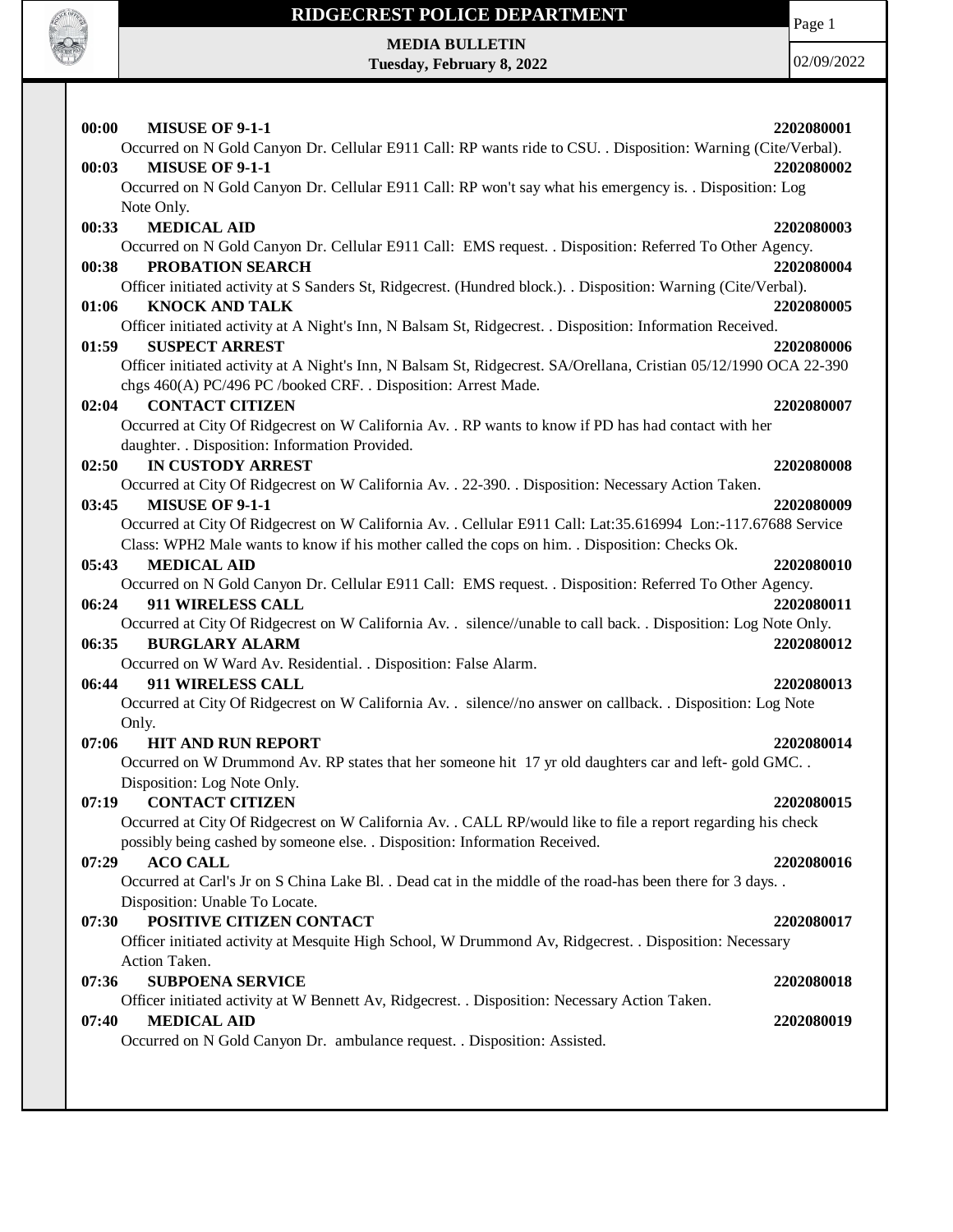

Page 1

**MEDIA BULLETIN Tuesday, February 8, 2022**

| 00:00<br><b>MISUSE OF 9-1-1</b>                                                                                   | 2202080001 |
|-------------------------------------------------------------------------------------------------------------------|------------|
| Occurred on N Gold Canyon Dr. Cellular E911 Call: RP wants ride to CSU. . Disposition: Warning (Cite/Verbal).     |            |
| 00:03<br><b>MISUSE OF 9-1-1</b>                                                                                   | 2202080002 |
| Occurred on N Gold Canyon Dr. Cellular E911 Call: RP won't say what his emergency is. . Disposition: Log          |            |
| Note Only.                                                                                                        |            |
| <b>MEDICAL AID</b><br>00:33                                                                                       | 2202080003 |
| Occurred on N Gold Canyon Dr. Cellular E911 Call: EMS request. . Disposition: Referred To Other Agency.           |            |
| PROBATION SEARCH<br>00:38                                                                                         | 2202080004 |
| Officer initiated activity at S Sanders St, Ridgecrest. (Hundred block.). . Disposition: Warning (Cite/Verbal).   |            |
| 01:06<br><b>KNOCK AND TALK</b>                                                                                    | 2202080005 |
| Officer initiated activity at A Night's Inn, N Balsam St, Ridgecrest. . Disposition: Information Received.        |            |
| 01:59<br><b>SUSPECT ARREST</b>                                                                                    | 2202080006 |
| Officer initiated activity at A Night's Inn, N Balsam St, Ridgecrest. SA/Orellana, Cristian 05/12/1990 OCA 22-390 |            |
| chgs 460(A) PC/496 PC /booked CRF. . Disposition: Arrest Made.                                                    |            |
| <b>CONTACT CITIZEN</b><br>02:04                                                                                   | 2202080007 |
| Occurred at City Of Ridgecrest on W California Av. . RP wants to know if PD has had contact with her              |            |
| daughter. . Disposition: Information Provided.<br>02:50<br><b>IN CUSTODY ARREST</b>                               | 2202080008 |
| Occurred at City Of Ridgecrest on W California Av. . 22-390. . Disposition: Necessary Action Taken.               |            |
| <b>MISUSE OF 9-1-1</b><br>03:45                                                                                   | 2202080009 |
| Occurred at City Of Ridgecrest on W California Av. . Cellular E911 Call: Lat:35.616994 Lon:-117.67688 Service     |            |
| Class: WPH2 Male wants to know if his mother called the cops on him. . Disposition: Checks Ok.                    |            |
| <b>MEDICAL AID</b><br>05:43                                                                                       | 2202080010 |
| Occurred on N Gold Canyon Dr. Cellular E911 Call: EMS request. . Disposition: Referred To Other Agency.           |            |
| 06:24<br>911 WIRELESS CALL                                                                                        | 2202080011 |
| Occurred at City Of Ridgecrest on W California Av. . silence//unable to call back. . Disposition: Log Note Only.  |            |
| 06:35<br><b>BURGLARY ALARM</b>                                                                                    | 2202080012 |
| Occurred on W Ward Av. Residential. . Disposition: False Alarm.                                                   |            |
| 06:44<br>911 WIRELESS CALL                                                                                        | 2202080013 |
| Occurred at City Of Ridgecrest on W California Av. . silence//no answer on callback. . Disposition: Log Note      |            |
| Only.                                                                                                             |            |
| <b>HIT AND RUN REPORT</b><br>07:06                                                                                | 2202080014 |
| Occurred on W Drummond Av. RP states that her someone hit 17 yr old daughters car and left- gold GMC              |            |
| Disposition: Log Note Only.                                                                                       |            |
| 07:19 CONTACT CITIZEN                                                                                             | 2202080015 |
| Occurred at City Of Ridgecrest on W California Av. . CALL RP/would like to file a report regarding his check      |            |
| possibly being cashed by someone else. . Disposition: Information Received.                                       |            |
| 07:29<br><b>ACO CALL</b>                                                                                          | 2202080016 |
| Occurred at Carl's Jr on S China Lake Bl. . Dead cat in the middle of the road-has been there for 3 days. .       |            |
| Disposition: Unable To Locate.                                                                                    |            |
| 07:30<br>POSITIVE CITIZEN CONTACT                                                                                 | 2202080017 |
| Officer initiated activity at Mesquite High School, W Drummond Av, Ridgecrest. . Disposition: Necessary           |            |
| Action Taken.                                                                                                     |            |
| <b>SUBPOENA SERVICE</b><br>07:36                                                                                  | 2202080018 |
| Officer initiated activity at W Bennett Av, Ridgecrest. . Disposition: Necessary Action Taken.                    |            |
| <b>MEDICAL AID</b><br>07:40                                                                                       | 2202080019 |
| Occurred on N Gold Canyon Dr. ambulance request. . Disposition: Assisted.                                         |            |
|                                                                                                                   |            |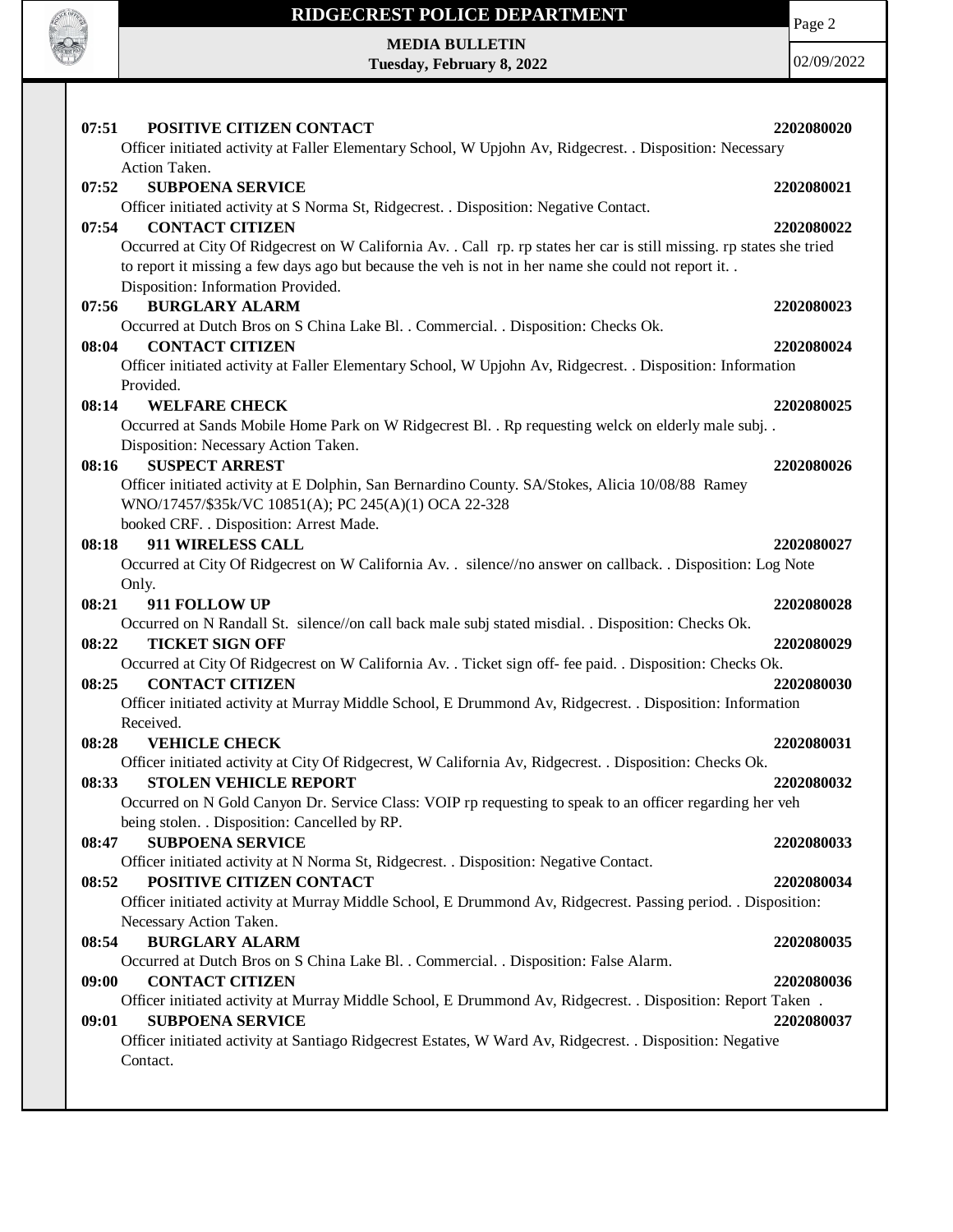

Page 2

**MEDIA BULLETIN Tuesday, February 8, 2022**

| 07:51<br>POSITIVE CITIZEN CONTACT                                                                                                                        | 2202080020 |
|----------------------------------------------------------------------------------------------------------------------------------------------------------|------------|
| Officer initiated activity at Faller Elementary School, W Upjohn Av, Ridgecrest. . Disposition: Necessary<br>Action Taken.                               |            |
| <b>SUBPOENA SERVICE</b><br>07:52                                                                                                                         | 2202080021 |
| Officer initiated activity at S Norma St, Ridgecrest. . Disposition: Negative Contact.                                                                   |            |
| <b>CONTACT CITIZEN</b><br>07:54                                                                                                                          | 2202080022 |
| Occurred at City Of Ridgecrest on W California Av. . Call rp. rp states her car is still missing. rp states she tried                                    |            |
| to report it missing a few days ago but because the veh is not in her name she could not report it                                                       |            |
| Disposition: Information Provided.                                                                                                                       |            |
| <b>BURGLARY ALARM</b><br>07:56                                                                                                                           | 2202080023 |
| Occurred at Dutch Bros on S China Lake Bl. . Commercial. . Disposition: Checks Ok.                                                                       |            |
| <b>CONTACT CITIZEN</b><br>08:04                                                                                                                          | 2202080024 |
| Officer initiated activity at Faller Elementary School, W Upjohn Av, Ridgecrest. . Disposition: Information                                              |            |
| Provided.                                                                                                                                                |            |
| 08:14<br><b>WELFARE CHECK</b>                                                                                                                            | 2202080025 |
| Occurred at Sands Mobile Home Park on W Ridgecrest Bl. . Rp requesting welck on elderly male subj. .                                                     |            |
| Disposition: Necessary Action Taken.                                                                                                                     |            |
| <b>SUSPECT ARREST</b><br>08:16                                                                                                                           | 2202080026 |
| Officer initiated activity at E Dolphin, San Bernardino County. SA/Stokes, Alicia 10/08/88 Ramey<br>WNO/17457/\$35k/VC 10851(A); PC 245(A)(1) OCA 22-328 |            |
| booked CRF. . Disposition: Arrest Made.                                                                                                                  |            |
| 911 WIRELESS CALL<br>08:18                                                                                                                               | 2202080027 |
| Occurred at City Of Ridgecrest on W California Av. . silence//no answer on callback. . Disposition: Log Note                                             |            |
| Only.                                                                                                                                                    |            |
| 911 FOLLOW UP<br>08:21                                                                                                                                   | 2202080028 |
| Occurred on N Randall St. silence//on call back male subj stated misdial. Disposition: Checks Ok.                                                        |            |
| 08:22<br><b>TICKET SIGN OFF</b>                                                                                                                          | 2202080029 |
| Occurred at City Of Ridgecrest on W California Av. . Ticket sign off- fee paid. . Disposition: Checks Ok.                                                |            |
| <b>CONTACT CITIZEN</b><br>08:25                                                                                                                          | 2202080030 |
| Officer initiated activity at Murray Middle School, E Drummond Av, Ridgecrest. . Disposition: Information                                                |            |
| Received.                                                                                                                                                |            |
| <b>VEHICLE CHECK</b><br>08:28                                                                                                                            | 2202080031 |
| Officer initiated activity at City Of Ridgecrest, W California Av, Ridgecrest. . Disposition: Checks Ok.                                                 |            |
| <b>STOLEN VEHICLE REPORT</b><br>08:33                                                                                                                    | 2202080032 |
| Occurred on N Gold Canyon Dr. Service Class: VOIP rp requesting to speak to an officer regarding her veh                                                 |            |
| being stolen. . Disposition: Cancelled by RP.                                                                                                            |            |
| <b>SUBPOENA SERVICE</b><br>08:47<br>Officer initiated activity at N Norma St, Ridgecrest. . Disposition: Negative Contact.                               | 2202080033 |
| POSITIVE CITIZEN CONTACT<br>08:52                                                                                                                        | 2202080034 |
| Officer initiated activity at Murray Middle School, E Drummond Av, Ridgecrest. Passing period. . Disposition:                                            |            |
| Necessary Action Taken.                                                                                                                                  |            |
| <b>BURGLARY ALARM</b><br>08:54                                                                                                                           | 2202080035 |
| Occurred at Dutch Bros on S China Lake Bl. . Commercial. . Disposition: False Alarm.                                                                     |            |
| 09:00<br><b>CONTACT CITIZEN</b>                                                                                                                          | 2202080036 |
| Officer initiated activity at Murray Middle School, E Drummond Av, Ridgecrest. . Disposition: Report Taken.                                              |            |
| <b>SUBPOENA SERVICE</b><br>09:01                                                                                                                         | 2202080037 |
| Officer initiated activity at Santiago Ridgecrest Estates, W Ward Av, Ridgecrest. . Disposition: Negative                                                |            |
| Contact.                                                                                                                                                 |            |
|                                                                                                                                                          |            |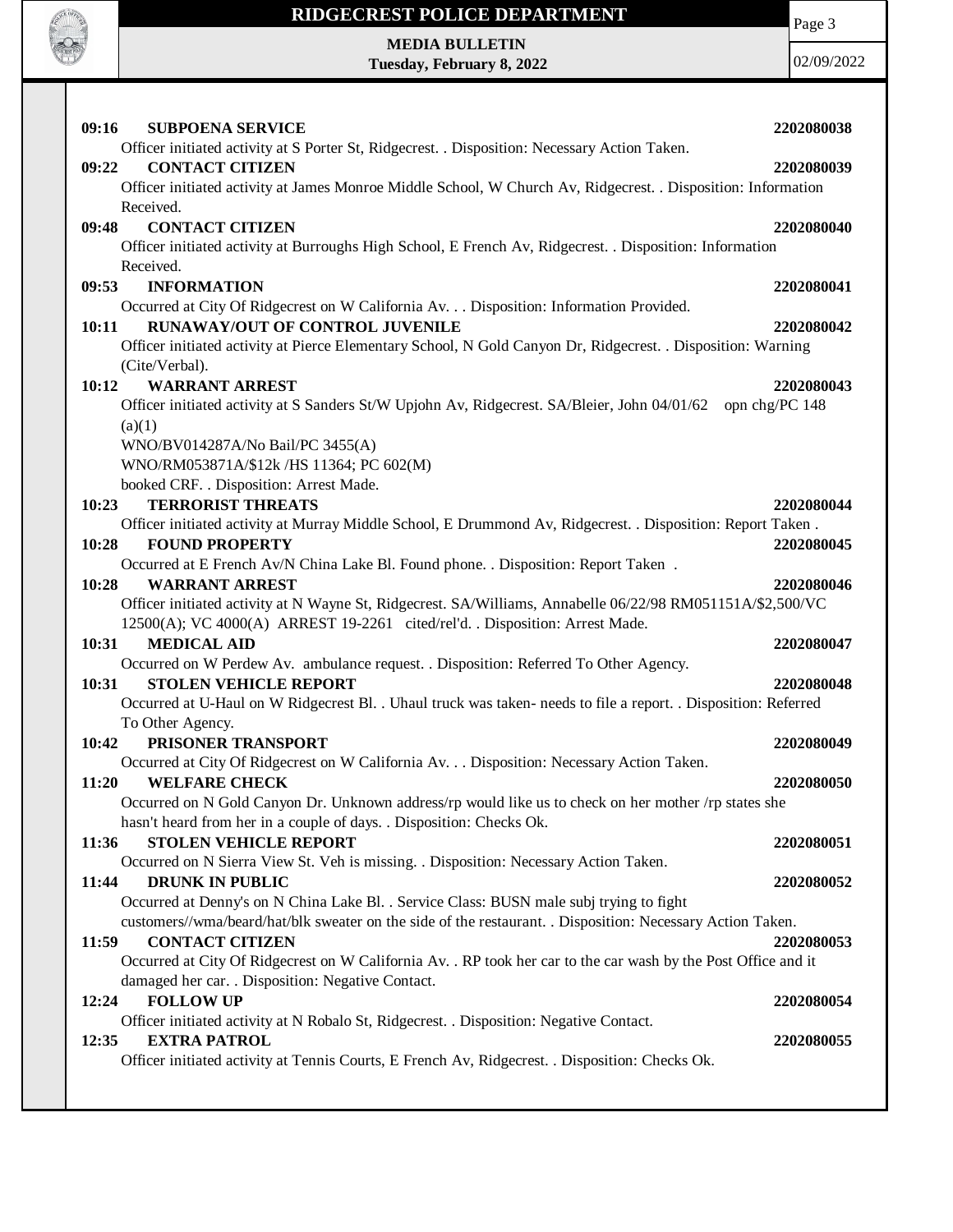

Page 3

**MEDIA BULLETIN Tuesday, February 8, 2022**

| <b>SUBPOENA SERVICE</b><br>09:16                                                                                | 2202080038     |
|-----------------------------------------------------------------------------------------------------------------|----------------|
| Officer initiated activity at S Porter St, Ridgecrest. . Disposition: Necessary Action Taken.                   |                |
| <b>CONTACT CITIZEN</b><br>09:22                                                                                 | 2202080039     |
| Officer initiated activity at James Monroe Middle School, W Church Av, Ridgecrest. . Disposition: Information   |                |
| Received.                                                                                                       |                |
| <b>CONTACT CITIZEN</b><br>09:48                                                                                 | 2202080040     |
| Officer initiated activity at Burroughs High School, E French Av, Ridgecrest. . Disposition: Information        |                |
| Received.                                                                                                       |                |
| <b>INFORMATION</b><br>09:53                                                                                     | 2202080041     |
| Occurred at City Of Ridgecrest on W California Av. Disposition: Information Provided.                           |                |
| RUNAWAY/OUT OF CONTROL JUVENILE<br>10:11                                                                        | 2202080042     |
| Officer initiated activity at Pierce Elementary School, N Gold Canyon Dr, Ridgecrest. . Disposition: Warning    |                |
| (Cite/Verbal).                                                                                                  |                |
| <b>WARRANT ARREST</b><br>10:12                                                                                  | 2202080043     |
| Officer initiated activity at S Sanders St/W Upjohn Av, Ridgecrest. SA/Bleier, John 04/01/62                    | opn chg/PC 148 |
| (a)(1)                                                                                                          |                |
| WNO/BV014287A/No Bail/PC 3455(A)                                                                                |                |
| WNO/RM053871A/\$12k /HS 11364; PC 602(M)                                                                        |                |
| booked CRF. . Disposition: Arrest Made.                                                                         |                |
| 10:23<br><b>TERRORIST THREATS</b>                                                                               | 2202080044     |
| Officer initiated activity at Murray Middle School, E Drummond Av, Ridgecrest. . Disposition: Report Taken.     |                |
| <b>FOUND PROPERTY</b><br>10:28                                                                                  | 2202080045     |
| Occurred at E French Av/N China Lake Bl. Found phone. . Disposition: Report Taken.                              |                |
| 10:28<br><b>WARRANT ARREST</b>                                                                                  | 2202080046     |
| Officer initiated activity at N Wayne St, Ridgecrest. SA/Williams, Annabelle 06/22/98 RM051151A/\$2,500/VC      |                |
| 12500(A); VC 4000(A) ARREST 19-2261 cited/rel'd. . Disposition: Arrest Made.                                    |                |
| 10:31<br><b>MEDICAL AID</b>                                                                                     | 2202080047     |
| Occurred on W Perdew Av. ambulance request. . Disposition: Referred To Other Agency.                            |                |
| <b>STOLEN VEHICLE REPORT</b><br>10:31                                                                           | 2202080048     |
| Occurred at U-Haul on W Ridgecrest Bl. . Uhaul truck was taken- needs to file a report. . Disposition: Referred |                |
| To Other Agency.                                                                                                |                |
| PRISONER TRANSPORT<br>10:42                                                                                     | 2202080049     |
| Occurred at City Of Ridgecrest on W California Av. Disposition: Necessary Action Taken.                         |                |
| <b>WELFARE CHECK</b><br>11:20                                                                                   | 2202080050     |
| Occurred on N Gold Canyon Dr. Unknown address/rp would like us to check on her mother /rp states she            |                |
| hasn't heard from her in a couple of days. . Disposition: Checks Ok.                                            |                |
| <b>STOLEN VEHICLE REPORT</b><br>11:36                                                                           | 2202080051     |
| Occurred on N Sierra View St. Veh is missing. . Disposition: Necessary Action Taken.                            |                |
| 11:44<br><b>DRUNK IN PUBLIC</b>                                                                                 | 2202080052     |
| Occurred at Denny's on N China Lake Bl. . Service Class: BUSN male subj trying to fight                         |                |
| customers//wma/beard/hat/blk sweater on the side of the restaurant. . Disposition: Necessary Action Taken.      |                |
| <b>CONTACT CITIZEN</b><br>11:59                                                                                 | 2202080053     |
| Occurred at City Of Ridgecrest on W California Av. . RP took her car to the car wash by the Post Office and it  |                |
| damaged her car. . Disposition: Negative Contact.                                                               |                |
| <b>FOLLOW UP</b><br>12:24                                                                                       | 2202080054     |
| Officer initiated activity at N Robalo St, Ridgecrest. . Disposition: Negative Contact.                         |                |
| <b>EXTRA PATROL</b><br>12:35                                                                                    | 2202080055     |
| Officer initiated activity at Tennis Courts, E French Av, Ridgecrest. . Disposition: Checks Ok.                 |                |
|                                                                                                                 |                |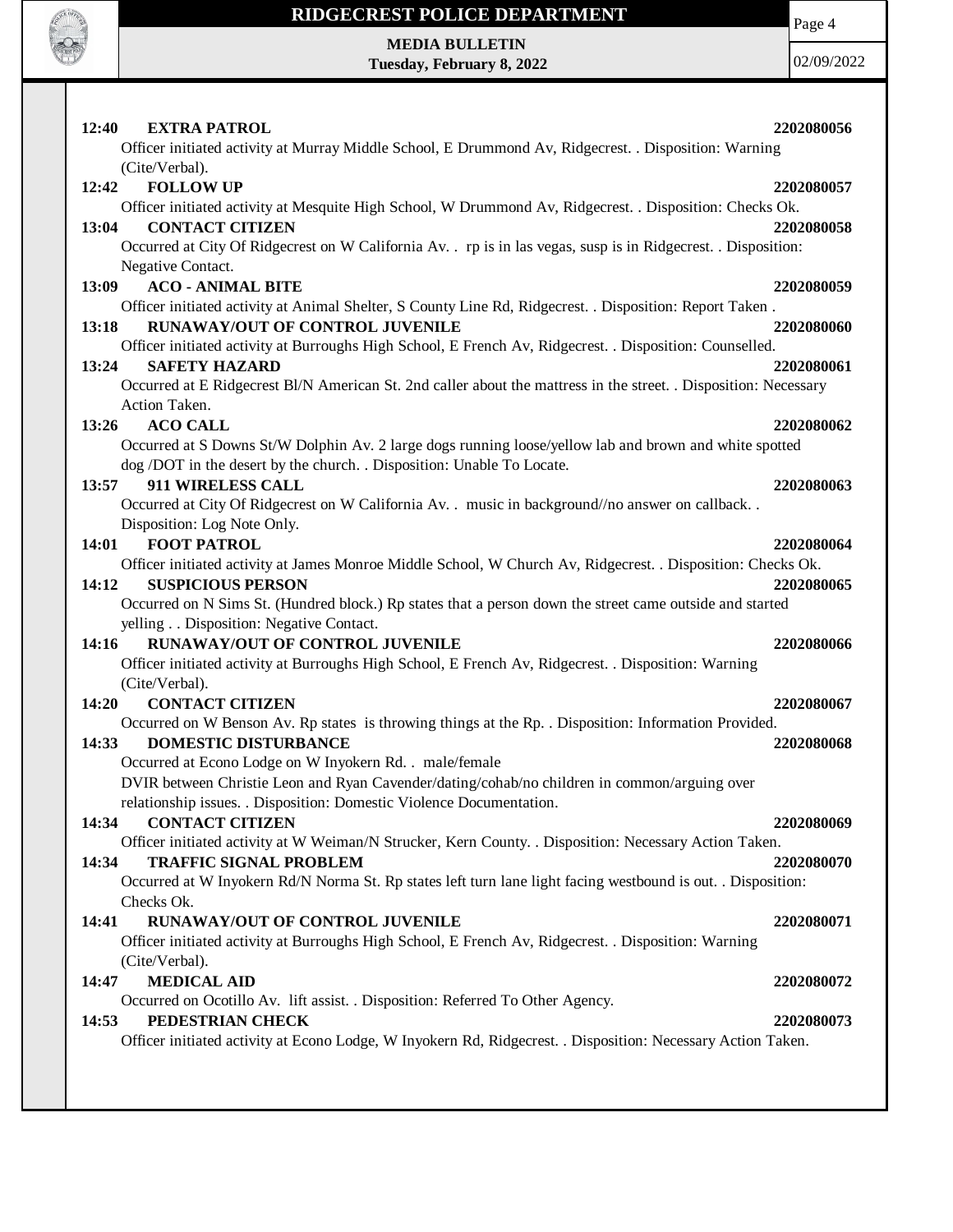

Page 4

**MEDIA BULLETIN Tuesday, February 8, 2022**

| 12:40<br><b>EXTRA PATROL</b><br>Officer initiated activity at Murray Middle School, E Drummond Av, Ridgecrest. . Disposition: Warning                                            | 2202080056 |
|----------------------------------------------------------------------------------------------------------------------------------------------------------------------------------|------------|
| (Cite/Verbal).<br><b>FOLLOW UP</b><br>12:42                                                                                                                                      | 2202080057 |
| Officer initiated activity at Mesquite High School, W Drummond Av, Ridgecrest. . Disposition: Checks Ok.                                                                         |            |
| <b>CONTACT CITIZEN</b><br>13:04                                                                                                                                                  | 2202080058 |
| Occurred at City Of Ridgecrest on W California Av. . rp is in las vegas, susp is in Ridgecrest. . Disposition:                                                                   |            |
| Negative Contact.                                                                                                                                                                |            |
| <b>ACO - ANIMAL BITE</b><br>13:09                                                                                                                                                | 2202080059 |
| Officer initiated activity at Animal Shelter, S County Line Rd, Ridgecrest. . Disposition: Report Taken.                                                                         |            |
| RUNAWAY/OUT OF CONTROL JUVENILE<br>13:18                                                                                                                                         | 2202080060 |
| Officer initiated activity at Burroughs High School, E French Av, Ridgecrest. . Disposition: Counselled.                                                                         |            |
| 13:24<br><b>SAFETY HAZARD</b>                                                                                                                                                    | 2202080061 |
| Occurred at E Ridgecrest Bl/N American St. 2nd caller about the mattress in the street. . Disposition: Necessary                                                                 |            |
| Action Taken.                                                                                                                                                                    |            |
| <b>ACO CALL</b><br>13:26                                                                                                                                                         | 2202080062 |
| Occurred at S Downs St/W Dolphin Av. 2 large dogs running loose/yellow lab and brown and white spotted<br>dog /DOT in the desert by the church. . Disposition: Unable To Locate. |            |
| 911 WIRELESS CALL<br>13:57                                                                                                                                                       | 2202080063 |
| Occurred at City Of Ridgecrest on W California Av. . music in background//no answer on callback                                                                                  |            |
| Disposition: Log Note Only.                                                                                                                                                      |            |
| <b>FOOT PATROL</b><br>14:01                                                                                                                                                      | 2202080064 |
| Officer initiated activity at James Monroe Middle School, W Church Av, Ridgecrest. . Disposition: Checks Ok.                                                                     |            |
| <b>SUSPICIOUS PERSON</b><br>14:12                                                                                                                                                | 2202080065 |
| Occurred on N Sims St. (Hundred block.) Rp states that a person down the street came outside and started                                                                         |            |
| yelling Disposition: Negative Contact.                                                                                                                                           |            |
| RUNAWAY/OUT OF CONTROL JUVENILE<br>14:16                                                                                                                                         | 2202080066 |
| Officer initiated activity at Burroughs High School, E French Av, Ridgecrest. . Disposition: Warning                                                                             |            |
| (Cite/Verbal).                                                                                                                                                                   |            |
| <b>CONTACT CITIZEN</b><br>14:20                                                                                                                                                  | 2202080067 |
| Occurred on W Benson Av. Rp states is throwing things at the Rp. . Disposition: Information Provided.                                                                            |            |
| <b>DOMESTIC DISTURBANCE</b><br>14:33                                                                                                                                             | 2202080068 |
| Occurred at Econo Lodge on W Inyokern Rd. . male/female                                                                                                                          |            |
| DVIR between Christie Leon and Ryan Cavender/dating/cohab/no children in common/arguing over                                                                                     |            |
| relationship issues. . Disposition: Domestic Violence Documentation.                                                                                                             |            |
| <b>CONTACT CITIZEN</b><br>14:34<br>Officer initiated activity at W Weiman/N Strucker, Kern County. . Disposition: Necessary Action Taken.                                        | 2202080069 |
| <b>TRAFFIC SIGNAL PROBLEM</b><br>14:34                                                                                                                                           | 2202080070 |
| Occurred at W Inyokern Rd/N Norma St. Rp states left turn lane light facing westbound is out. . Disposition:                                                                     |            |
| Checks Ok.                                                                                                                                                                       |            |
| RUNAWAY/OUT OF CONTROL JUVENILE<br>14:41                                                                                                                                         | 2202080071 |
| Officer initiated activity at Burroughs High School, E French Av, Ridgecrest. . Disposition: Warning                                                                             |            |
| (Cite/Verbal).                                                                                                                                                                   |            |
| <b>MEDICAL AID</b><br>14:47                                                                                                                                                      | 2202080072 |
| Occurred on Ocotillo Av. lift assist. . Disposition: Referred To Other Agency.                                                                                                   |            |
| PEDESTRIAN CHECK<br>14:53                                                                                                                                                        | 2202080073 |
| Officer initiated activity at Econo Lodge, W Inyokern Rd, Ridgecrest. . Disposition: Necessary Action Taken.                                                                     |            |
|                                                                                                                                                                                  |            |
|                                                                                                                                                                                  |            |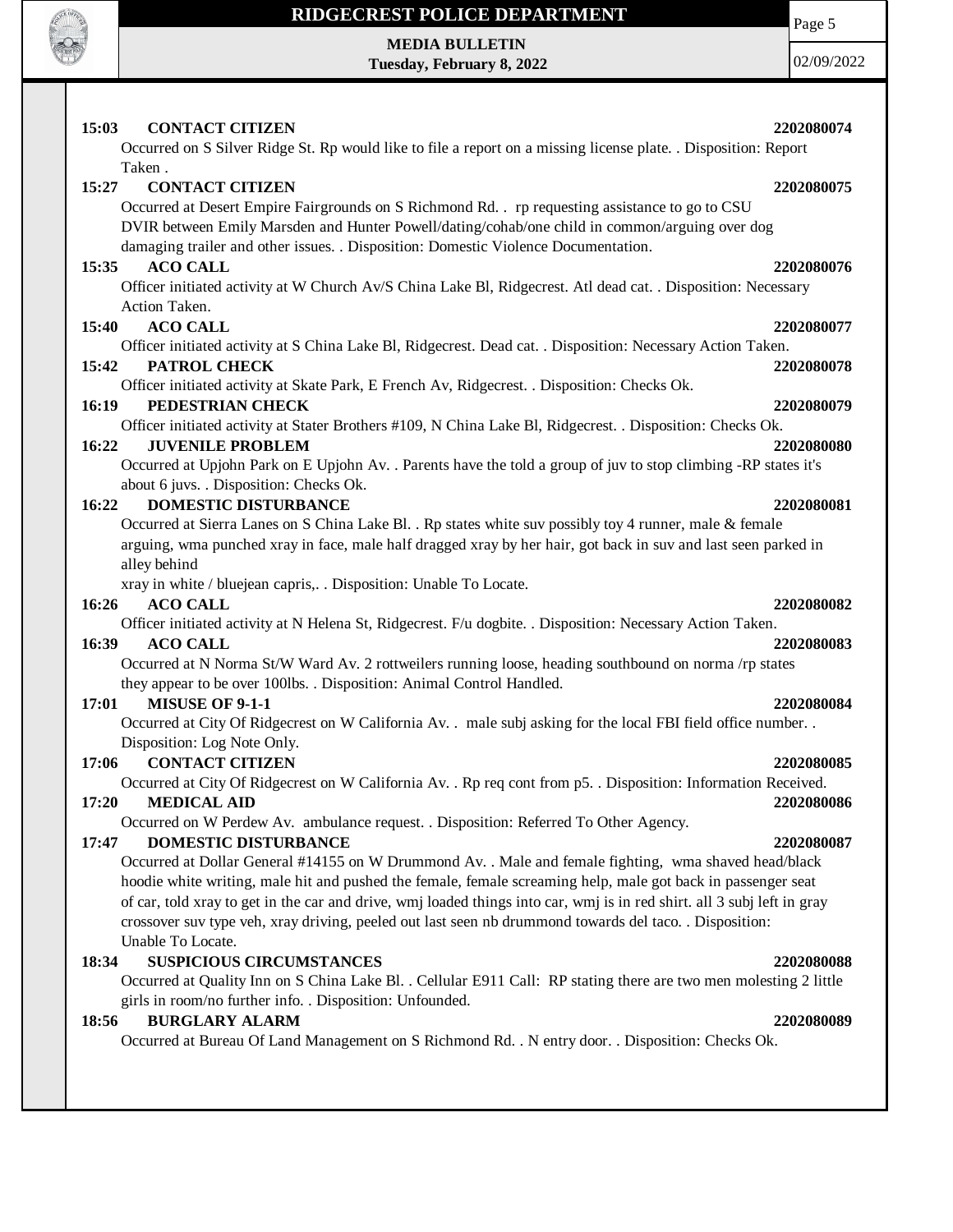

Page 5

**MEDIA BULLETIN Tuesday, February 8, 2022**

| <b>CONTACT CITIZEN</b><br>15:03                                                                                                                            | 2202080074 |
|------------------------------------------------------------------------------------------------------------------------------------------------------------|------------|
| Occurred on S Silver Ridge St. Rp would like to file a report on a missing license plate. . Disposition: Report                                            |            |
| Taken.                                                                                                                                                     |            |
| 15:27<br><b>CONTACT CITIZEN</b>                                                                                                                            | 2202080075 |
| Occurred at Desert Empire Fairgrounds on S Richmond Rd. rp requesting assistance to go to CSU                                                              |            |
| DVIR between Emily Marsden and Hunter Powell/dating/cohab/one child in common/arguing over dog                                                             |            |
| damaging trailer and other issues. . Disposition: Domestic Violence Documentation.                                                                         |            |
| <b>ACO CALL</b><br>15:35                                                                                                                                   | 2202080076 |
| Officer initiated activity at W Church Av/S China Lake Bl, Ridgecrest. Atl dead cat. . Disposition: Necessary                                              |            |
| Action Taken.                                                                                                                                              |            |
| <b>ACO CALL</b><br>15:40                                                                                                                                   | 2202080077 |
| Officer initiated activity at S China Lake Bl, Ridgecrest. Dead cat. . Disposition: Necessary Action Taken.                                                |            |
| 15:42<br>PATROL CHECK                                                                                                                                      | 2202080078 |
| Officer initiated activity at Skate Park, E French Av, Ridgecrest. . Disposition: Checks Ok.                                                               |            |
| 16:19<br>PEDESTRIAN CHECK                                                                                                                                  | 2202080079 |
| Officer initiated activity at Stater Brothers #109, N China Lake Bl, Ridgecrest. . Disposition: Checks Ok.                                                 |            |
| 16:22<br><b>JUVENILE PROBLEM</b>                                                                                                                           | 2202080080 |
| Occurred at Upjohn Park on E Upjohn Av. . Parents have the told a group of juv to stop climbing -RP states it's<br>about 6 juvs. . Disposition: Checks Ok. |            |
| 16:22<br>DOMESTIC DISTURBANCE                                                                                                                              | 2202080081 |
| Occurred at Sierra Lanes on S China Lake Bl. . Rp states white suv possibly toy 4 runner, male & female                                                    |            |
| arguing, wma punched xray in face, male half dragged xray by her hair, got back in suv and last seen parked in                                             |            |
| alley behind                                                                                                                                               |            |
| xray in white / bluejean capris,. . Disposition: Unable To Locate.                                                                                         |            |
| 16:26<br><b>ACO CALL</b>                                                                                                                                   | 2202080082 |
| Officer initiated activity at N Helena St, Ridgecrest. F/u dogbite. . Disposition: Necessary Action Taken.                                                 |            |
| <b>ACO CALL</b><br>16:39                                                                                                                                   | 2202080083 |
| Occurred at N Norma St/W Ward Av. 2 rottweilers running loose, heading southbound on norma /rp states                                                      |            |
| they appear to be over 100lbs. . Disposition: Animal Control Handled.                                                                                      |            |
| 17:01<br><b>MISUSE OF 9-1-1</b>                                                                                                                            | 2202080084 |
| Occurred at City Of Ridgecrest on W California Av. . male subj asking for the local FBI field office number. .                                             |            |
| Disposition: Log Note Only.                                                                                                                                |            |
| <b>CONTACT CITIZEN</b><br>17:06                                                                                                                            | 2202080085 |
| Occurred at City Of Ridgecrest on W California Av. . Rp req cont from p5. . Disposition: Information Received.                                             |            |
| <b>MEDICAL AID</b><br>17:20                                                                                                                                | 2202080086 |
| Occurred on W Perdew Av. ambulance request. . Disposition: Referred To Other Agency.                                                                       |            |
| 17:47<br>DOMESTIC DISTURBANCE                                                                                                                              | 2202080087 |
| Occurred at Dollar General #14155 on W Drummond Av. . Male and female fighting, wma shaved head/black                                                      |            |
| hoodie white writing, male hit and pushed the female, female screaming help, male got back in passenger seat                                               |            |
| of car, told xray to get in the car and drive, wmj loaded things into car, wmj is in red shirt. all 3 subj left in gray                                    |            |
| crossover suv type veh, xray driving, peeled out last seen nb drummond towards del taco. . Disposition:                                                    |            |
| Unable To Locate.                                                                                                                                          |            |
| <b>SUSPICIOUS CIRCUMSTANCES</b><br>18:34                                                                                                                   | 2202080088 |
| Occurred at Quality Inn on S China Lake Bl. . Cellular E911 Call: RP stating there are two men molesting 2 little                                          |            |
| girls in room/no further info. . Disposition: Unfounded.                                                                                                   |            |
| <b>BURGLARY ALARM</b><br>18:56                                                                                                                             | 2202080089 |
| Occurred at Bureau Of Land Management on S Richmond Rd. . N entry door. . Disposition: Checks Ok.                                                          |            |
|                                                                                                                                                            |            |
|                                                                                                                                                            |            |